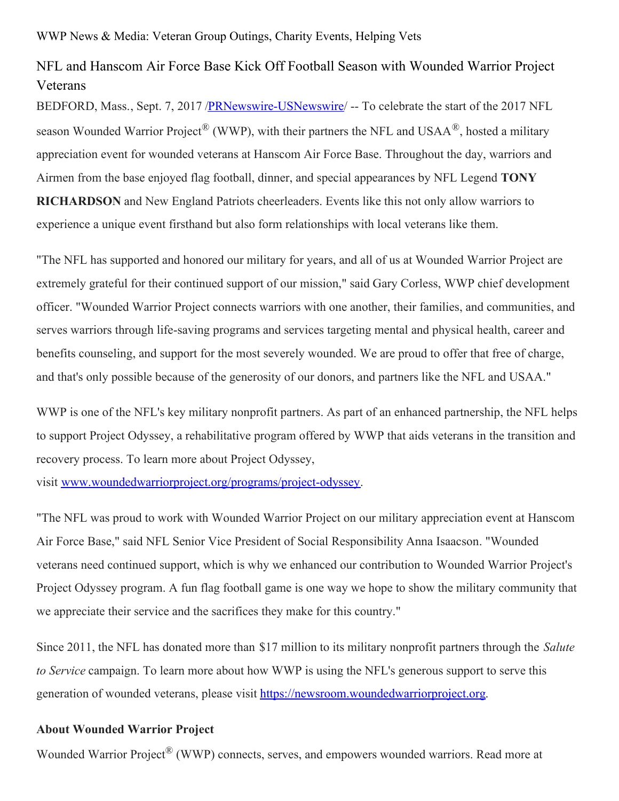WWP News & Media: Veteran Group Outings, Charity Events, Helping Vets

## NFL and Hanscom Air Force Base Kick Off Football Season with Wounded Warrior Project Veterans

BEDFORD, Mass., Sept. 7, 2017 [/PRNewswire-USNewswire](http://www.prnewswire.com/)/ -- To celebrate the start of the 2017 NFL season Wounded Warrior Project<sup>®</sup> (WWP), with their partners the NFL and USAA<sup>®</sup>, hosted a military appreciation event for wounded veterans at Hanscom Air Force Base. Throughout the day, warriors and Airmen from the base enjoyed flag football, dinner, and special appearances by NFL Legend **TONY RICHARDSON** and New England Patriots cheerleaders. Events like this not only allow warriors to experience a unique event firsthand but also form relationships with local veterans like them.

"The NFL has supported and honored our military for years, and all of us at Wounded Warrior Project are extremely grateful for their continued support of our mission," said Gary Corless, WWP chief development officer. "Wounded Warrior Project connects warriors with one another, their families, and communities, and serves warriors through life-saving programs and services targeting mental and physical health, career and benefits counseling, and support for the most severely wounded. We are proud to offer that free of charge, and that's only possible because of the generosity of our donors, and partners like the NFL and USAA."

WWP is one of the NFL's key military nonprofit partners. As part of an enhanced partnership, the NFL helps to support Project Odyssey, a rehabilitative program offered by WWP that aids veterans in the transition and recovery process. To learn more about Project Odyssey,

visit [www.woundedwarriorproject.org/programs/project-odyssey](https://www.woundedwarriorproject.org/programs/project-odyssey).

"The NFL was proud to work with Wounded Warrior Project on our military appreciation event at Hanscom Air Force Base," said NFL Senior Vice President of Social Responsibility Anna Isaacson. "Wounded veterans need continued support, which is why we enhanced our contribution to Wounded Warrior Project's Project Odyssey program. A fun flag football game is one way we hope to show the military community that we appreciate their service and the sacrifices they make for this country."

Since 2011, the NFL has donated more than \$17 million to its military nonprofit partners through the *Salute to Service* campaign. To learn more about how WWP is using the NFL's generous support to serve this generation of wounded veterans, please visit [https://newsroom.woundedwarriorproject.org](https://newsroom.woundedwarriorproject.org/).

## **About Wounded Warrior Project**

Wounded Warrior Project<sup>®</sup> (WWP) connects, serves, and empowers wounded warriors. Read more at